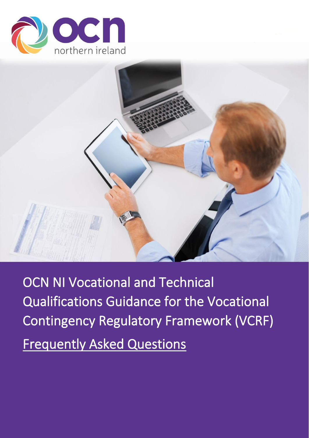



OCN NI Vocational and Technical Qualifications Guidance for the Vocational Contingency Regulatory Framework (VCRF) Frequently Asked Questions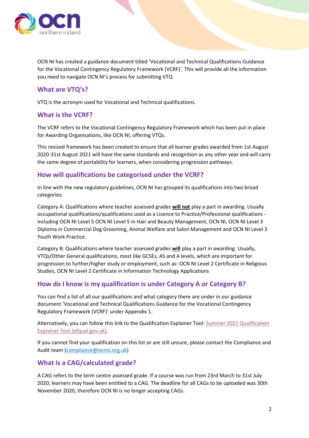

OCN NI has created a guidance document titled 'Vocational and Technical Qualifications Guidance for the Vocational Contingency Regulatory Framework (VCRF)'. This will provide all the information you need to navigate OCN NI's process for submitting VTQ

## **What are VTQ's?**

VTQ is the acronym used for Vocational and Technical qualifications.

## **What is the VCRF?**

The VCRF refers to the Vocational Contingency Regulatory Framework which has been put in place for Awarding Organisations, like OCN NI, offering VTQs.

This revised framework has been created to ensure that all learner grades awarded from 1st August 2020-31st August 2021 will have the same standards and recognition as any other year and will carry the same degree of portability for learners, when considering progression pathways.

#### **How will qualifications be categorised under the VCRF?**

In line with the new regulatory guidelines, OCN NI has grouped its qualifications into two broad categories:

Category A: Qualifications where teacher assessed grades **will not** play a part in awarding. Usually occupational qualifications/qualifications used as a Licence to Practice/Professional qualifications including OCN NI Level 5 OCN NI Level 5 in Hair and Beauty Management, OCN NI, OCN NI Level 3 Diploma in Commercial Dog Grooming, Animal Welfare and Salon Management and OCN NI Level 3 Youth Work Practice.

Category B: Qualifications where teacher assessed grades **will** play a part in awarding. Usually, VTQs/Other General qualifications, most like GCSEs, AS and A levels, which are important for progression to further/higher study or employment, such as: OCN NI Level 2 Certificate in Religious Studies, OCN NI Level 2 Certificate in Information Technology Applications

## **How do I know is my qualification is under Category A or Category B?**

You can find a list of all our qualifications and what category there are under in our guidance document 'Vocational and Technical Qualifications Guidance for the Vocational Contingency Regulatory Framework (VCRF)' under Appendix 1.

Alternatively, you can follow this link to the Qualification Explainer Tool[: Summer 2021 Qualification](https://analytics.ofqual.gov.uk/apps/AllQualifications/summer2021tool/)  [Explainer Tool \(ofqual.gov.uk\).](https://analytics.ofqual.gov.uk/apps/AllQualifications/summer2021tool/)

If you cannot find your qualification on this list or are still unsure, please contact the Compliance and Audit team [\(compliance@ocnni.org.uk\)](mailto:compliance@ocnni.org.uk)

## **What is a CAG/calculated grade?**

A CAG refers to the term centre assessed grade. If a course was run from 23rd March to 31st July 2020, learners may have been entitled to a CAG. The deadline for all CAGs to be uploaded was 30th November 2020, therefore OCN NI is no longer accepting CAGs.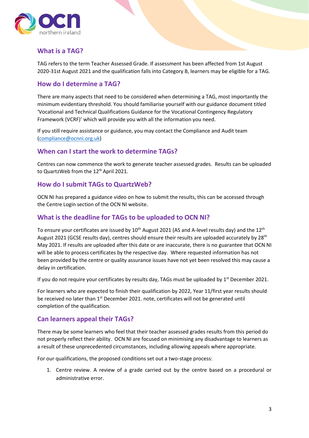

# **What is a TAG?**

TAG refers to the term Teacher Assessed Grade. If assessment has been affected from 1st August 2020-31st August 2021 and the qualification falls into Category B, learners may be eligible for a TAG.

## **How do I determine a TAG?**

There are many aspects that need to be considered when determining a TAG, most importantly the minimum evidentiary threshold. You should familiarise yourself with our guidance document titled 'Vocational and Technical Qualifications Guidance for the Vocational Contingency Regulatory Framework (VCRF)' which will provide you with all the information you need.

If you still require assistance or guidance, you may contact the Compliance and Audit team [\(compliance@ocnni.org.uk\)](mailto:compliance@ocnni.org.uk)

## **When can I start the work to determine TAGs?**

Centres can now commence the work to generate teacher assessed grades. Results can be uploaded to QuartzWeb from the 12<sup>th</sup> April 2021.

## **How do I submit TAGs to QuartzWeb?**

OCN NI has prepared a guidance video on how to submit the results, this can be accessed through the Centre Login section of the OCN NI website.

## **What is the deadline for TAGs to be uploaded to OCN NI?**

To ensure your certificates are issued by 10<sup>th</sup> August 2021 (AS and A-level results day) and the 12<sup>th</sup> August 2021 (GCSE results day), centres should ensure their results are uploaded accurately by 28<sup>th</sup> May 2021. If results are uploaded after this date or are inaccurate, there is no guarantee that OCN NI will be able to process certificates by the respective day. Where requested information has not been provided by the centre or quality assurance issues have not yet been resolved this may cause a delay in certification.

If you do not require your certificates by results day, TAGs must be uploaded by  $1<sup>st</sup>$  December 2021.

For learners who are expected to finish their qualification by 2022, Year 11/first year results should be received no later than 1<sup>st</sup> December 2021. note, certificates will not be generated until completion of the qualification.

# **Can learners appeal their TAGs?**

There may be some learners who feel that their teacher assessed grades results from this period do not properly reflect their ability. OCN NI are focused on minimising any disadvantage to learners as a result of these unprecedented circumstances, including allowing appeals where appropriate.

For our qualifications, the proposed conditions set out a two-stage process:

1. Centre review. A review of a grade carried out by the centre based on a procedural or administrative error.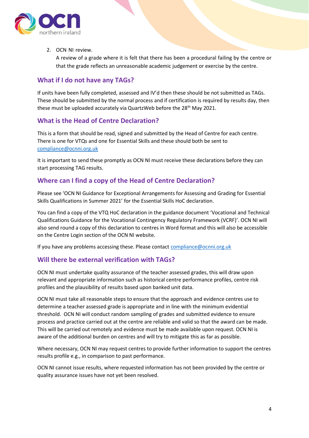

2. OCN NI review.

A review of a grade where it is felt that there has been a procedural failing by the centre or that the grade reflects an unreasonable academic judgement or exercise by the centre.

## **What if I do not have any TAGs?**

If units have been fully completed, assessed and IV'd then these should be not submitted as TAGs. These should be submitted by the normal process and if certification is required by results day, then these must be uploaded accurately via QuartzWeb before the 28<sup>th</sup> May 2021.

## **What is the Head of Centre Declaration?**

This is a form that should be read, signed and submitted by the Head of Centre for each centre. There is one for VTQs and one for Essential Skills and these should both be sent to [compliance@ocnni.org.uk](mailto:compliance@ocnni.org.uk)

It is important to send these promptly as OCN NI must receive these declarations before they can start processing TAG results.

## **Where can I find a copy of the Head of Centre Declaration?**

Please see 'OCN NI Guidance for Exceptional Arrangements for Assessing and Grading for Essential Skills Qualifications in Summer 2021' for the Essential Skills HoC declaration.

You can find a copy of the VTQ HoC declaration in the guidance document 'Vocational and Technical Qualifications Guidance for the Vocational Contingency Regulatory Framework (VCRF)'. OCN NI will also send round a copy of this declaration to centres in Word format and this will also be accessible on the Centre Login section of the OCN NI website.

If you have any problems accessing these. Please contac[t compliance@ocnni.org.uk](mailto:compliance@ocnni.org.uk)

# **Will there be external verification with TAGs?**

OCN NI must undertake quality assurance of the teacher assessed grades, this will draw upon relevant and appropriate information such as historical centre performance profiles, centre risk profiles and the plausibility of results based upon banked unit data.

OCN NI must take all reasonable steps to ensure that the approach and evidence centres use to determine a teacher assessed grade is appropriate and in line with the minimum evidential threshold. OCN NI will conduct random sampling of grades and submitted evidence to ensure process and practice carried out at the centre are reliable and valid so that the award can be made. This will be carried out remotely and evidence must be made available upon request. OCN NI is aware of the additional burden on centres and will try to mitigate this as far as possible.

Where necessary, OCN NI may request centres to provide further information to support the centres results profile e.g., in comparison to past performance.

OCN NI cannot issue results, where requested information has not been provided by the centre or quality assurance issues have not yet been resolved.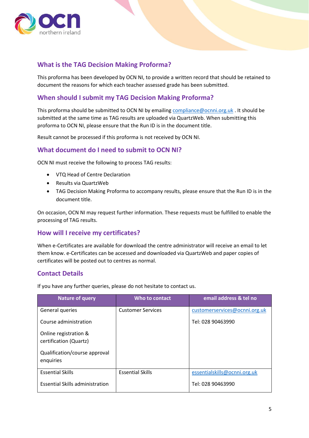

# **What is the TAG Decision Making Proforma?**

This proforma has been developed by OCN NI, to provide a written record that should be retained to document the reasons for which each teacher assessed grade has been submitted.

## **When should I submit my TAG Decision Making Proforma?**

This proforma should be submitted to OCN NI by emailin[g compliance@ocnni.org.uk](mailto:compliance@ocnni.org.uk). It should be submitted at the same time as TAG results are uploaded via QuartzWeb. When submitting this proforma to OCN NI, please ensure that the Run ID is in the document title.

Result cannot be processed if this proforma is not received by OCN NI.

#### **What document do I need to submit to OCN NI?**

OCN NI must receive the following to process TAG results:

- VTQ Head of Centre Declaration
- Results via QuartzWeb
- TAG Decision Making Proforma to accompany results, please ensure that the Run ID is in the document title.

On occasion, OCN NI may request further information. These requests must be fulfilled to enable the processing of TAG results.

#### **How will I receive my certificates?**

When e-Certificates are available for download the centre administrator will receive an email to let them know. e-Certificates can be accessed and downloaded via QuartzWeb and paper copies of certificates will be posted out to centres as normal.

## **Contact Details**

If you have any further queries, please do not hesitate to contact us.

| <b>Nature of query</b>                          | Who to contact           | email address & tel no        |
|-------------------------------------------------|--------------------------|-------------------------------|
| General queries                                 | <b>Customer Services</b> | customerservices@ocnni.org.uk |
| Course administration                           |                          | Tel: 028 90463990             |
| Online registration &<br>certification (Quartz) |                          |                               |
| Qualification/course approval<br>enquiries      |                          |                               |
| <b>Essential Skills</b>                         | <b>Essential Skills</b>  | essentialskills@ocnni.org.uk  |
| <b>Essential Skills administration</b>          |                          | Tel: 028 90463990             |